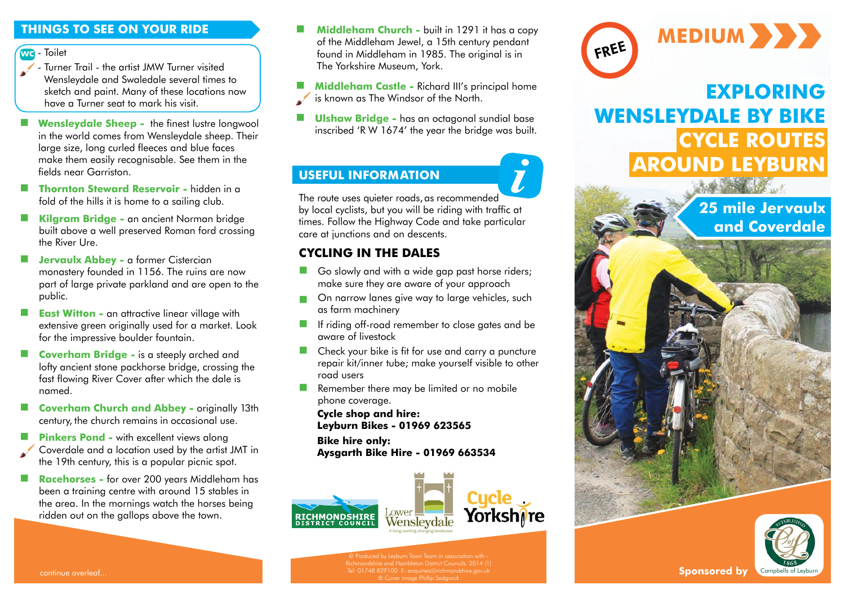#### **THINGS TO SEE ON YOUR RIDE**

#### - Toilet **wc**

- Turner Trail the artist JMW Turner visited Wensleydale and Swaledale several times to sketch and paint. Many of these locations now have a Turner seat to mark his visit.
- **Wensleydale Sheep -** the finest lustre longwool in the world comes from Wensleydale sheep. Their large size, long curled fleeces and blue faces make them easily recognisable. See them in the fields near Garriston.
- **Thornton Steward Reservoir** hidden in a fold of the hills it is home to a sailing club.
- **Kilgram Bridge** an ancient Norman bridge built above a well preserved Roman ford crossing the River Ure.
- **Jervaulx Abbey a former Cistercian** monastery founded in 1156. The ruins are now part of large private parkland and are open to the public.
- **East Witton -** an attractive linear village with extensive green originally used for a market. Look for the impressive boulder fountain.
- **Coverham Bridge -** is a steeply arched and lofty ancient stone packhorse bridge, crossing the fast flowing River Cover after which the dale is named.
- **Coverham Church and Abbey** originally 13th century, the church remains in occasional use.
- **Pinkers Pond with excellent views along** Coverdale and a location used by the artist JMT in the 19th century, this is a popular picnic spot.
- **Racehorses** for over 200 years Middleham has been a training centre with around 15 stables in the area. In the mornings watch the horses being ridden out on the gallops above the town.
- **Middleham Church built in 1291 it has a copy** of the Middleham Jewel, a 15th century pendant found in Middleham in 1985. The original is in The Yorkshire Museum, York.
- **Middleham Castle Richard III's principal home**
- is known as The Windsor of the North.
- **Ulshaw Bridge -** has an octagonal sundial base inscribed 'R W 1674' the year the bridge was built.

# **USEFUL INFORMATION**

The route uses quieter roads, as recommended by local cyclists, but you will be riding with traffic at times. Follow the Highway Code and take particular care at junctions and on descents. *i*

### **CYCLING IN THE DALES**

- Go slowly and with a wide gap past horse riders; make sure they are aware of your approach
- **On narrow lanes give way to large vehicles, such** as farm machinery
- **If riding off-road remember to close gates and be** aware of livestock
- Check your bike is fit for use and carry a puncture repair kit/inner tube; make yourself visible to other road users
- **Remember there may be limited or no mobile** phone coverage.

**Cycle shop and hire: Leyburn Bikes - 01969 623565**

**Bike hire only:** 

**Aysgarth Bike Hire - 01969 663534**





# **EXPLORING WENSLEYDALE BY BIKE CYCLE ROUTES AROUND LEYBURN**

**25 mile Jervaulx and Coverdale**



continue overleaf...